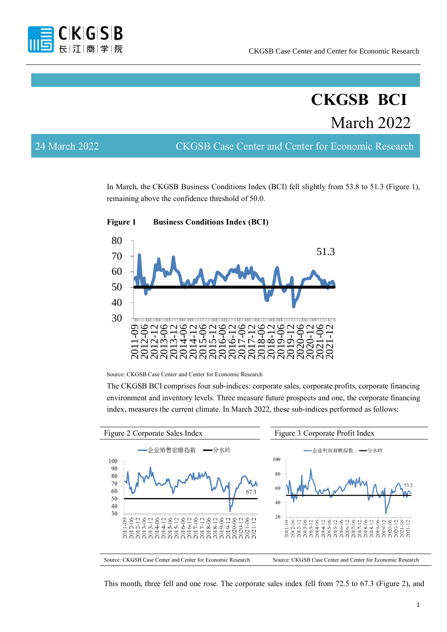

# **CKGSB BCI** March 2022

24 March 2022 CKGSB Case Center and Center for Economic Research

In March, the CKGSB Business Conditions Index (BCI) fell slightly from 53.8 to 51.3 (Figure 1), remaining above the confidence threshold of 50.0.



**Figure 1 Business Conditions Index (BCI)**

Source: CKGSB Case Center and Center for Economic Research

The CKGSB BCI comprises four sub-indices: corporate sales, corporate profits, corporate financing environment and inventory levels. Three measure future prospects and one, the corporate financing index, measures the current climate. In March 2022, these sub-indices performed as follows:



This month, three fell and one rose. The corporate sales index fell from 72.5 to 67.3 (Figure 2), and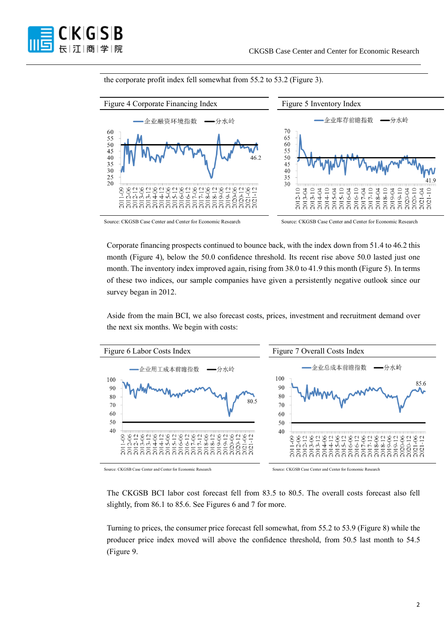

the corporate profit index fell somewhat from 55.2 to 53.2 (Figure 3).



Source: CKGSB Case Center and Center for Economic Research Source: CKGSB Case Center and Center for Economic Research

Corporate financing prospects continued to bounce back, with the index down from 51.4 to 46.2 this month (Figure 4), below the 50.0 confidence threshold. Its recent rise above 50.0 lasted just one month. The inventory index improved again, rising from 38.0 to 41.9 this month (Figure 5). In terms of these two indices, our sample companies have given a persistently negative outlook since our survey began in 2012.

Aside from the main BCI, we also forecast costs, prices, investment and recruitment demand over the next six months. We begin with costs:



Source: CKGSB Case Center and Center for Economic Research Source: CKGSB Case Center and Center for Economic Research

The CKGSB BCI labor cost forecast fell from 83.5 to 80.5. The overall costs forecast also fell slightly, from 86.1 to 85.6. See Figures 6 and 7 for more.

Turning to prices, the consumer price forecast fell somewhat, from 55.2 to 53.9 (Figure 8) while the producer price index moved will above the confidence threshold, from 50.5 last month to 54.5 (Figure 9.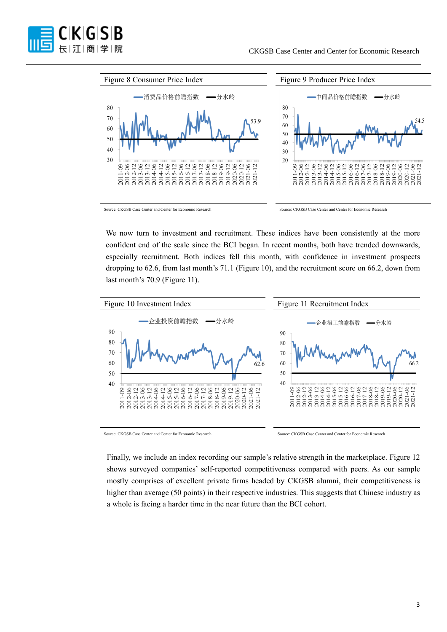



Source: CKGSB Case Center and Center for Economic Research Source: CKGSB Case Center and Center for Economic Research

We now turn to investment and recruitment. These indices have been consistently at the more confident end of the scale since the BCI began. In recent months, both have trended downwards, especially recruitment. Both indices fell this month, with confidence in investment prospects dropping to 62.6, from last month's 71.1 (Figure 10), and the recruitment score on 66.2, down from last month's 70.9 (Figure 11).



Source: CKGSB Case Center and Center for Economic Research Source: CKGSB Case Center and Center for Economic Research

Finally, we include an index recording our sample's relative strength in the marketplace. Figure 12 shows surveyed companies' self-reported competitiveness compared with peers. As our sample mostly comprises of excellent private firms headed by CKGSB alumni, their competitiveness is higher than average (50 points) in their respective industries. This suggests that Chinese industry as a whole is facing a harder time in the near future than the BCI cohort.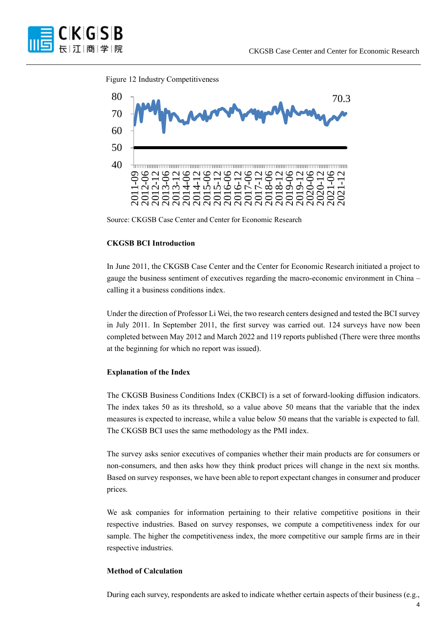

#### Figure 12 Industry Competitiveness



Source: CKGSB Case Center and Center for Economic Research

## **CKGSB BCI Introduction**

In June 2011, the CKGSB Case Center and the Center for Economic Research initiated a project to gauge the business sentiment of executives regarding the macro-economic environment in China – calling it a business conditions index.

Under the direction of Professor Li Wei, the two research centers designed and tested the BCI survey in July 2011. In September 2011, the first survey was carried out. 124 surveys have now been completed between May 2012 and March 2022 and 119 reports published (There were three months at the beginning for which no report was issued).

#### **Explanation of the Index**

The CKGSB Business Conditions Index (CKBCI) is a set of forward-looking diffusion indicators. The index takes 50 as its threshold, so a value above 50 means that the variable that the index measures is expected to increase, while a value below 50 means that the variable is expected to fall. The CKGSB BCI uses the same methodology as the PMI index.

The survey asks senior executives of companies whether their main products are for consumers or non-consumers, and then asks how they think product prices will change in the next six months. Based on survey responses, we have been able to report expectant changes in consumer and producer prices.

We ask companies for information pertaining to their relative competitive positions in their respective industries. Based on survey responses, we compute a competitiveness index for our sample. The higher the competitiveness index, the more competitive our sample firms are in their respective industries.

### **Method of Calculation**

During each survey, respondents are asked to indicate whether certain aspects of their business (e.g.,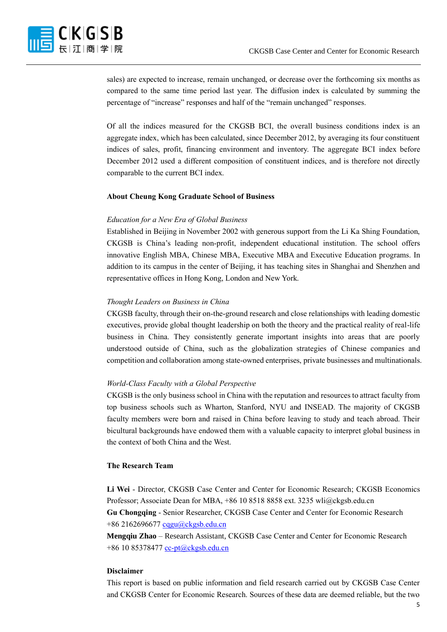sales) are expected to increase, remain unchanged, or decrease over the forthcoming six months as compared to the same time period last year. The diffusion index is calculated by summing the percentage of "increase" responses and half of the "remain unchanged" responses.

Of all the indices measured for the CKGSB BCI, the overall business conditions index is an aggregate index, which has been calculated, since December 2012, by averaging its four constituent indices of sales, profit, financing environment and inventory. The aggregate BCI index before December 2012 used a different composition of constituent indices, and is therefore not directly comparable to the current BCI index.

#### **About Cheung Kong Graduate School of Business**

#### *Education for a New Era of Global Business*

Established in Beijing in November 2002 with generous support from the Li Ka Shing Foundation, CKGSB is China's leading non-profit, independent educational institution. The school offers innovative English MBA, Chinese MBA, Executive MBA and Executive Education programs. In addition to its campus in the center of Beijing, it has teaching sites in Shanghai and Shenzhen and representative offices in Hong Kong, London and New York.

#### *Thought Leaders on Business in China*

CKGSB faculty, through their on-the-ground research and close relationships with leading domestic executives, provide global thought leadership on both the theory and the practical reality of real-life business in China. They consistently generate important insights into areas that are poorly understood outside of China, such as the globalization strategies of Chinese companies and competition and collaboration among state-owned enterprises, private businesses and multinationals.

#### *World-Class Faculty with a Global Perspective*

CKGSB is the only business school in China with the reputation and resources to attract faculty from top business schools such as Wharton, Stanford, NYU and INSEAD. The majority of CKGSB faculty members were born and raised in China before leaving to study and teach abroad. Their bicultural backgrounds have endowed them with a valuable capacity to interpret global business in the context of both China and the West.

#### **The Research Team**

**Li Wei** - Director, CKGSB Case Center and Center for Economic Research; CKGSB Economics Professor; Associate Dean for MBA, +86 10 8518 8858 ext. 3235 wli@ckgsb.edu.cn **Gu Chongqing** - Senior Researcher, CKGSB Case Center and Center for Economic Research +86 216269667[7 cqgu@ckgsb.edu.cn](mailto:cqgu@ckgsb.edu.cn)

**Mengqiu Zhao** – Research Assistant, CKGSB Case Center and Center for Economic Research +86 10 85378477 [cc-pt@ckgsb.edu.cn](mailto:cc-pt@ckgsb.edu.cn)

#### **Disclaimer**

This report is based on public information and field research carried out by CKGSB Case Center and CKGSB Center for Economic Research. Sources of these data are deemed reliable, but the two